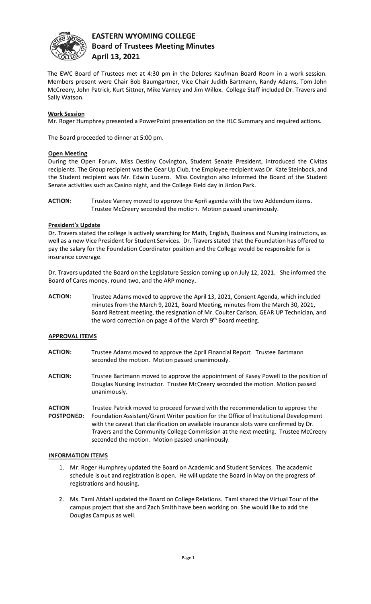

# **EASTERN WYOMING COLLEGE Board of Trustees Meeting Minutes April 13, 2021**

The EWC Board of Trustees met at 4:30 pm in the Delores Kaufman Board Room in a work session. Members present were Chair Bob Baumgartner, Vice Chair Judith Bartmann, Randy Adams, Tom John Mccreery, John Patrick, Kurt Sittner, Mike Varney and Jim Willox. College Staff included Dr. Travers and Sally Watson.

## **Work Session**

Mr. Roger Humphrey presented a PowerPoint presentation on the HLC Summary and required actions.

The Board proceeded to dinner at 5:00 pm.

## **Open Meeting**

During the Open Forum, Miss Destiny Covington, Student Senate President, introduced the Civitas recipients. The Group recipient was the Gear Up Club, the Employee recipient was Dr. Kate Steinbock, and the Student recipient was Mr. Edwin Lucero. Miss Covington also informed the Board of the Student Senate activities such as Casino night, and the College Field day in Jirdon Park.

**ACTION:** Trustee Varney moved to approve the April agenda with the two Addendum items. Trustee McCreery seconded the motion. Motion passed unanimously.

## **President's Update**

Dr. Travers stated the college is actively searching for Math, English, Business and Nursing instructors, as well as a new Vice President for Student Services. Dr. Travers stated that the Foundation has offered to pay the salary for the Foundation Coordinator position and the College would be responsible for is insurance coverage.

Dr. Travers updated the Board on the Legislature Session coming up on July 12, 2021. She informed the Board of Cares money, round two, and the ARP money.

**ACTION:** Trustee Adams moved to approve the April 13, 2021, Consent Agenda, which included minutes from the March 9, 2021, Board Meeting, minutes from the March 30, 2021, Board Retreat meeting, the resignation of Mr. Coulter Carlson, GEAR UP Technician, and the word correction on page 4 of the March 9<sup>th</sup> Board meeting.

## **APPROVAL ITEMS**

- **ACTION:** Trustee Adams moved to approve the April Financial Report. Trustee Bartmann seconded the motion. Motion passed unanimously.
- **ACTION:** Trustee Bartmann moved to approve the appointment of Kasey Powell to the position of Douglas Nursing Instructor. Trustee Mccreery seconded the motion. Motion passed unanimously.
- **ACTION** Trustee Patrick moved to proceed forward with the recommendation to approve the **POSTPONED:** Foundation Assistant/Grant Writer position for the Office of Institutional Development with the caveat that clarification on available insurance slots were confirmed by Dr. Travers and the Community College Commission at the next meeting. Trustee Mccreery seconded the motion. Motion passed unanimously.

## **INFORMATION ITEMS**

- 1. Mr. Roger Humphrey updated the Board on Academic and Student Services. The academic schedule is out and registration is open. He will update the Board in May on the progress of registrations and housing.
- 2. Ms. Tami Afdahl updated the Board on College Relations. Tami shared the Virtual Tour of the campus project that she and Zach Smith have been working on. She would like to add the Douglas Campus as well.